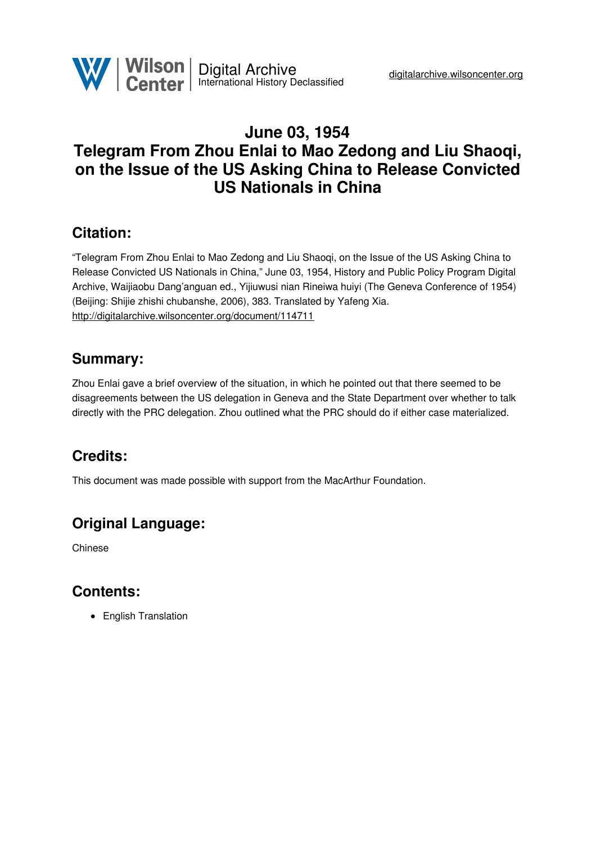

## **June 03, 1954 Telegram From Zhou Enlai to Mao Zedong and Liu Shaoqi, on the Issue of the US Asking China to Release Convicted US Nationals in China**

## **Citation:**

"Telegram From Zhou Enlai to Mao Zedong and Liu Shaoqi, on the Issue of the US Asking China to Release Convicted US Nationals in China," June 03, 1954, History and Public Policy Program Digital Archive, Waijiaobu Dang'anguan ed., Yijiuwusi nian Rineiwa huiyi (The Geneva Conference of 1954) (Beijing: Shijie zhishi chubanshe, 2006), 383. Translated by Yafeng Xia. <http://digitalarchive.wilsoncenter.org/document/114711>

## **Summary:**

Zhou Enlai gave a brief overview of the situation, in which he pointed out that there seemed to be disagreements between the US delegation in Geneva and the State Department over whether to talk directly with the PRC delegation. Zhou outlined what the PRC should do if either case materialized.

# **Credits:**

This document was made possible with support from the MacArthur Foundation.

# **Original Language:**

Chinese

## **Contents:**

• English Translation